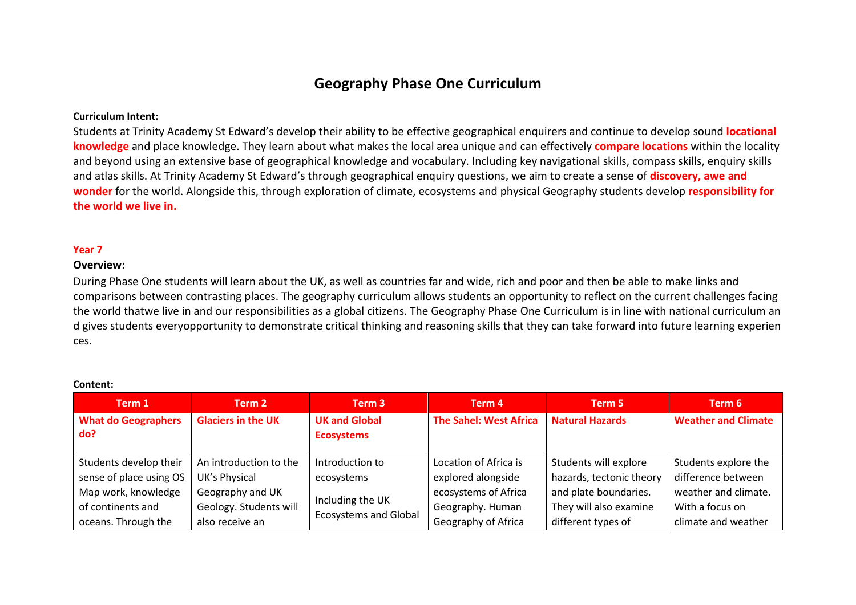# **Geography Phase One Curriculum**

## **Curriculum Intent:**

Students at Trinity Academy St Edward's develop their ability to be effective geographical enquirers and continue to develop sound **locational knowledge** and place knowledge. They learn about what makes the local area unique and can effectively **compare locations** within the locality and beyond using an extensive base of geographical knowledge and vocabulary. Including key navigational skills, compass skills, enquiry skills and atlas skills. At Trinity Academy St Edward's through geographical enquiry questions, we aim to create a sense of **discovery, awe and wonder** for the world. Alongside this, through exploration of climate, ecosystems and physical Geography students develop **responsibility for the world we live in.**

### **Year 7**

#### **Overview:**

During Phase One students will learn about the UK, as well as countries far and wide, rich and poor and then be able to make links and comparisons between contrasting places. The geography curriculum allows students an opportunity to reflect on the current challenges facing the world thatwe live in and our responsibilities as a global citizens. The Geography Phase One Curriculum is in line with national curriculum an d gives students everyopportunity to demonstrate critical thinking and reasoning skills that they can take forward into future learning experien ces.

| Term 1                            | Term 2                    | Term 3                                           | Term 4                        | Term 5                   | Term 6                     |
|-----------------------------------|---------------------------|--------------------------------------------------|-------------------------------|--------------------------|----------------------------|
| <b>What do Geographers</b><br>do? | <b>Glaciers in the UK</b> | <b>UK and Global</b><br><b>Ecosystems</b>        | <b>The Sahel: West Africa</b> | <b>Natural Hazards</b>   | <b>Weather and Climate</b> |
| Students develop their            | An introduction to the    | Introduction to                                  | Location of Africa is         | Students will explore    | Students explore the       |
| sense of place using OS           | UK's Physical             | ecosystems                                       | explored alongside            | hazards, tectonic theory | difference between         |
| Map work, knowledge               | Geography and UK          | Including the UK<br><b>Ecosystems and Global</b> | ecosystems of Africa          | and plate boundaries.    | weather and climate.       |
| of continents and                 | Geology. Students will    |                                                  | Geography. Human              | They will also examine   | With a focus on            |
| oceans. Through the               | also receive an           |                                                  | Geography of Africa           | different types of       | climate and weather        |

#### **Content:**